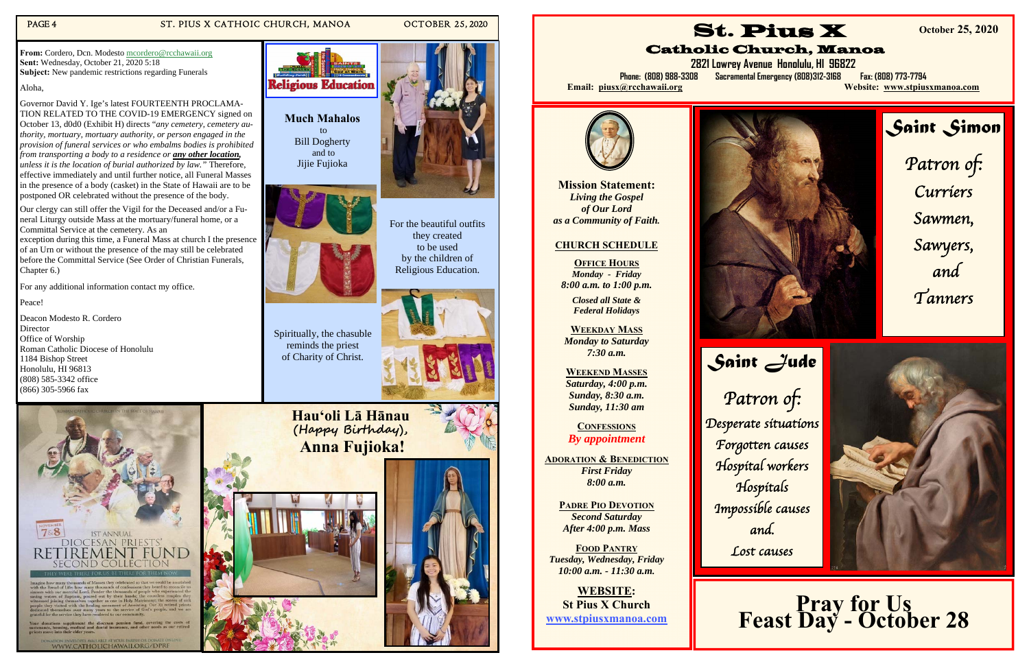#### PAGE 4 ST. PIUS X CATHOIC CHURCH, MANOA OCTOBER 25, 2020



by the children of Religious Education.



Spiritually, the chasuble reminds the priest of Charity of Christ.





WWW.CATHOLICHAWAII.ORG/DPRF

**From:** Cordero, Dcn. Modesto mcordero@rcchawaii.org **Sent:** Wednesday, October 21, 2020 5:18 **Subject:** New pandemic restrictions regarding Funerals

Aloha,

Governor David Y. Ige's latest FOURTEENTH PROCLAMA-TION RELATED TO THE COVID-19 EMERGENCY signed on October 13, d0d0 (Exhibit H) directs "*any cemetery, cemetery authority, mortuary, mortuary authority, or person engaged in the provision of funeral services or who embalms bodies is prohibited from transporting a body to a residence or any other location, unless it is the location of burial authorized by law."* Therefore, effective immediately and until further notice, all Funeral Masses in the presence of a body (casket) in the State of Hawaii are to be postponed OR celebrated without the presence of the body.

> **OFFICE HOURS** *Monday - Friday 8:00 a.m. to 1:00 p.m.*

Our clergy can still offer the Vigil for the Deceased and/or a Funeral Liturgy outside Mass at the mortuary/funeral home, or a Committal Service at the cemetery. As an

exception during this time, a Funeral Mass at church I the presence of an Urn or without the presence of the may still be celebrated before the Committal Service (See Order of Christian Funerals, Chapter 6.)

For any additional information contact my office.

Peace!

Deacon Modesto R. Cordero Director Office of Worship Roman Catholic Diocese of Honolulu 1184 Bishop Street Honolulu, HI 96813 (808) 585-3342 office (866) 305-5966 fax

> **Hauʻoli Lā Hānau (Happy Bi rthday), Anna Fujioka!**





**Mission Statement:** *Living the Gospel of Our Lord as a Community of Faith.* 

# **CHURCH SCHEDULE**

*Closed all State & Federal Holidays* 

**WEEKDAY MASS** 



*Monday to Saturday 7:30 a.m.* 

**WEEKEND MASSES**  *Saturday, 4:00 p.m. Sunday, 8:30 a.m. Sunday, 11:30 am* 

**CONFESSIONS***By appointment* 

**ADORATION & BENEDICTION** *First Friday 8:00 a.m.* 

**PADRE PIO DEVOTION***Second Saturday After 4:00 p.m. Mass* 

**FOOD PANTRY** *Tuesday, Wednesday, Friday 10:00 a.m. - 11:30 a.m.* 

**WEBSITE: St Pius X Church www.stpiusxmanoa.com** 

St. Pius X Catholic Church, Manoa



**2821 Lowrey Avenue Honolulu, HI 96822 Phone: (808) 988-3308 Sacramental Emergency (808)312-3168 Fax: (808) 773-7794 Email: piusx@rcchawaii.org Website: www.stpiusxmanoa.com**

**October 25, 2020** 



*Saint Jude*  Patron of: Desperate situations Forgotten causes Hospital workers Hospitals Impossible causes and. Lost causes



# **Pray for Us<br>Feast Day - October 28**